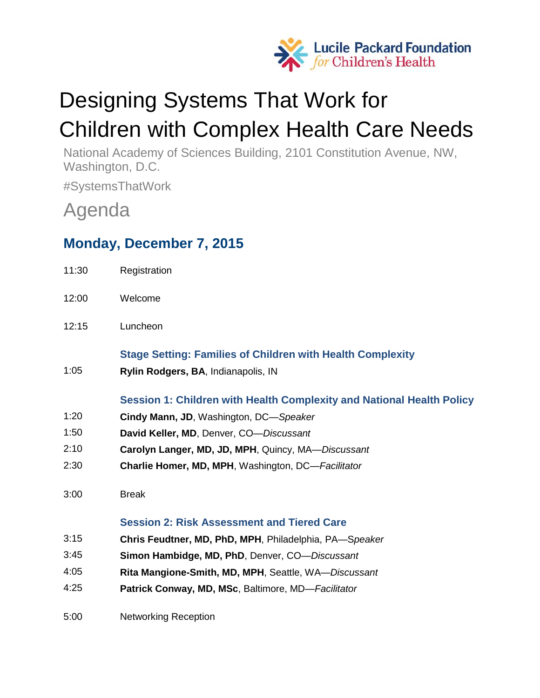

# Designing Systems That Work for Children with Complex Health Care Needs

National Academy of Sciences Building, 2101 Constitution Avenue, NW, Washington, D.C.

#SystemsThatWork

## Agenda

## **Monday, December 7, 2015**

| 11:30 | Registration                                                          |
|-------|-----------------------------------------------------------------------|
| 12:00 | Welcome                                                               |
| 12:15 | Luncheon                                                              |
|       | <b>Stage Setting: Families of Children with Health Complexity</b>     |
| 1:05  | Rylin Rodgers, BA, Indianapolis, IN                                   |
|       | Session 1: Children with Health Complexity and National Health Policy |
| 1:20  | Cindy Mann, JD, Washington, DC-Speaker                                |
| 1:50  | David Keller, MD, Denver, CO-Discussant                               |
| 2:10  | Carolyn Langer, MD, JD, MPH, Quincy, MA-Discussant                    |
| 2:30  | <b>Charlie Homer, MD, MPH, Washington, DC-Facilitator</b>             |
| 3:00  | <b>Break</b>                                                          |
|       | <b>Session 2: Risk Assessment and Tiered Care</b>                     |
| 3:15  | Chris Feudtner, MD, PhD, MPH, Philadelphia, PA-Speaker                |
| 3:45  | Simon Hambidge, MD, PhD, Denver, CO-Discussant                        |
| 4:05  | Rita Mangione-Smith, MD, MPH, Seattle, WA-Discussant                  |
| 4:25  | Patrick Conway, MD, MSc, Baltimore, MD-Facilitator                    |
| 5:00  | <b>Networking Reception</b>                                           |